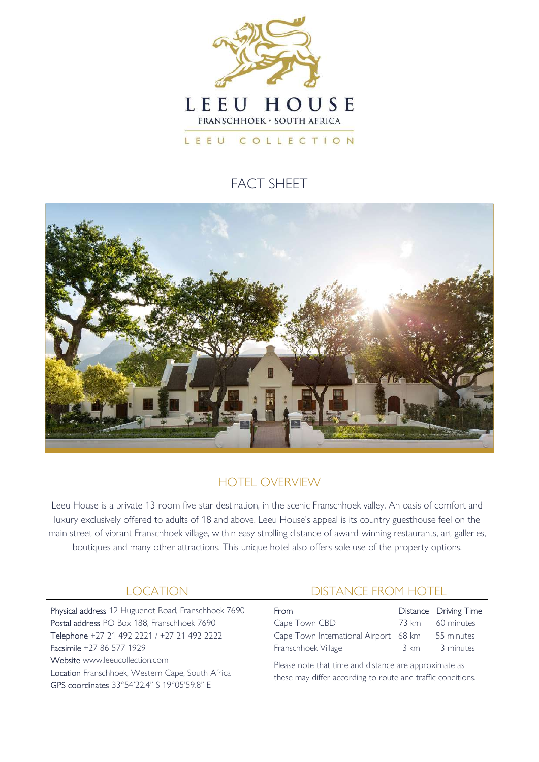

# FACT SHFFT



## HOTEL OVERVIEW

Leeu House is a private 13-room five-star destination, in the scenic Franschhoek valley. An oasis of comfort and luxury exclusively offered to adults of 18 and above. Leeu House's appeal is its country guesthouse feel on the main street of vibrant Franschhoek village, within easy strolling distance of award-winning restaurants, art galleries, boutiques and many other attractions. This unique hotel also offers sole use of the property options.

Physical address 12 Huguenot Road, Franschhoek 7690 Postal address PO Box 188, Franschhoek 7690 Telephone +27 21 492 2221 / +27 21 492 2222 Facsimile +27 86 577 1929 Website www.leeucollection.com Location Franschhoek, Western Cape, South Africa GPS coordinates 33°54'22.4" S 19°05'59.8" E

## LOCATION DISTANCE FROM HOTEL

| <b>From</b>                           |      | Distance Driving Time |
|---------------------------------------|------|-----------------------|
| Cape Town CBD                         |      | 73 km 60 minutes      |
| Cape Town International Airport 68 km |      | 55 minutes            |
| Franschhoek Village                   | 3 km | 3 minutes             |

Please note that time and distance are approximate as these may differ according to route and traffic conditions.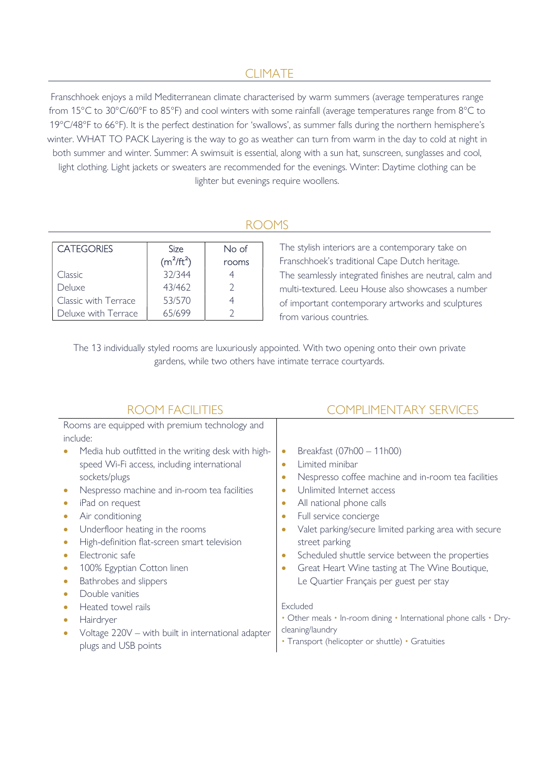### CLIMATE

Franschhoek enjoys a mild Mediterranean climate characterised by warm summers (average temperatures range from 15°C to 30°C/60°F to 85°F) and cool winters with some rainfall (average temperatures range from 8°C to 19°C/48°F to 66°F). It is the perfect destination for 'swallows', as summer falls during the northern hemisphere's winter. WHAT TO PACK Layering is the way to go as weather can turn from warm in the day to cold at night in both summer and winter. Summer: A swimsuit is essential, along with a sun hat, sunscreen, sunglasses and cool, light clothing. Light jackets or sweaters are recommended for the evenings. Winter: Daytime clothing can be lighter but evenings require woollens.

#### ROOMS

| <b>CATEGORIES</b>    | <b>Size</b>  | No of |
|----------------------|--------------|-------|
|                      | $(m^2/ft^2)$ | rooms |
| Classic              | 32/344       |       |
| Deluxe               | 43/462       |       |
| Classic with Terrace | 53/570       |       |
| Deluxe with Terrace  | 65/699       |       |

The stylish interiors are a contemporary take on Franschhoek's traditional Cape Dutch heritage. The seamlessly integrated finishes are neutral, calm and multi-textured. Leeu House also showcases a number of important contemporary artworks and sculptures from various countries.

The 13 individually styled rooms are luxuriously appointed. With two opening onto their own private gardens, while two others have intimate terrace courtyards.

| Nespresso coffee machine and in-room tea facilities               |
|-------------------------------------------------------------------|
|                                                                   |
|                                                                   |
|                                                                   |
| Valet parking/secure limited parking area with secure             |
|                                                                   |
| Scheduled shuttle service between the properties                  |
| Great Heart Wine tasting at The Wine Boutique,                    |
|                                                                   |
|                                                                   |
|                                                                   |
| • Other meals • In-room dining • International phone calls • Dry- |
|                                                                   |
|                                                                   |
|                                                                   |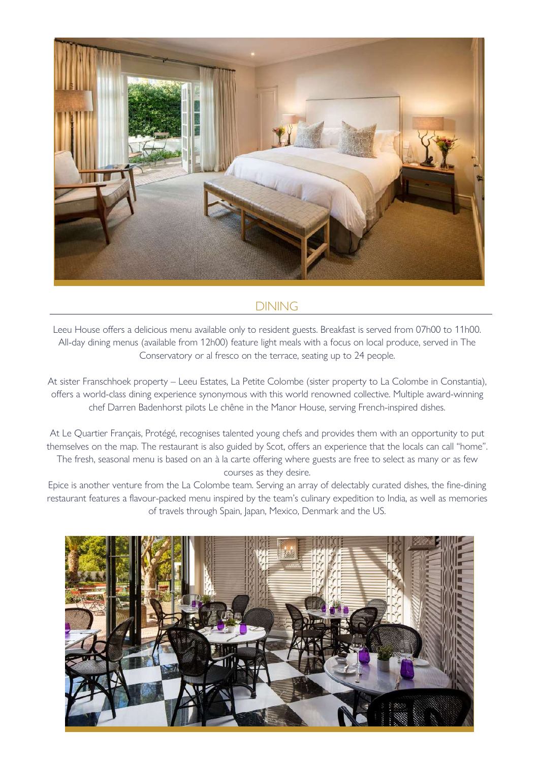

#### DINING

Leeu House offers a delicious menu available only to resident guests. Breakfast is served from 07h00 to 11h00. All-day dining menus (available from 12h00) feature light meals with a focus on local produce, served in The Conservatory or al fresco on the terrace, seating up to 24 people.

At sister Franschhoek property – Leeu Estates, La Petite Colombe (sister property to La Colombe in Constantia), offers a world-class dining experience synonymous with this world renowned collective. Multiple award-winning chef Darren Badenhorst pilots Le chêne in the Manor House, serving French-inspired dishes.

At Le Quartier Français, Protégé, recognises talented young chefs and provides them with an opportunity to put themselves on the map. The restaurant is also guided by Scot, offers an experience that the locals can call "home". The fresh, seasonal menu is based on an à la carte offering where guests are free to select as many or as few courses as they desire.

Epice is another venture from the La Colombe team. Serving an array of delectably curated dishes, the fine-dining restaurant features a flavour-packed menu inspired by the team's culinary expedition to India, as well as memories of travels through Spain, Japan, Mexico, Denmark and the US.

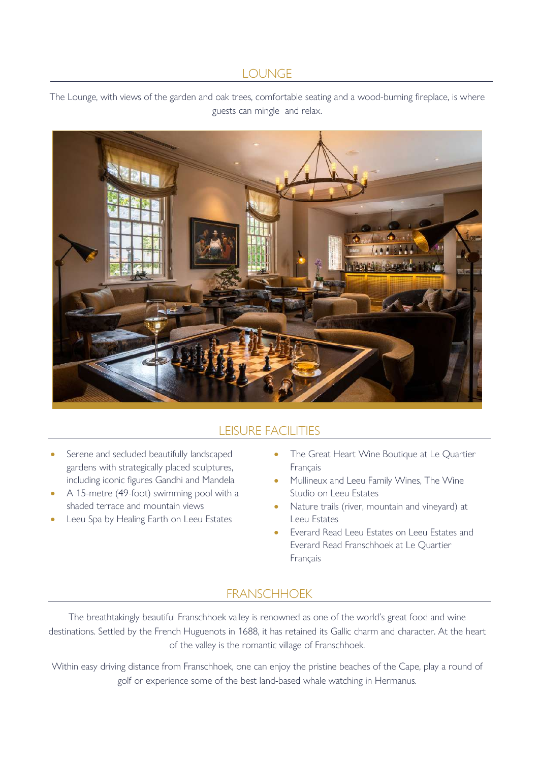#### **LOUNGE**

The Lounge, with views of the garden and oak trees, comfortable seating and a wood-burning fireplace, is where guests can mingle and relax.



## LEISURE FACILITIES

- Serene and secluded beautifully landscaped gardens with strategically placed sculptures, including iconic figures Gandhi and Mandela
- A 15-metre (49-foot) swimming pool with a shaded terrace and mountain views
- Leeu Spa by Healing Earth on Leeu Estates
- The Great Heart Wine Boutique at Le Quartier Français
- Mullineux and Leeu Family Wines, The Wine Studio on Leeu Estates
- Nature trails (river, mountain and vineyard) at Leeu Estates
- Everard Read Leeu Estates on Leeu Estates and Everard Read Franschhoek at Le Quartier Français

### FRANSCHHOEK

The breathtakingly beautiful Franschhoek valley is renowned as one of the world's great food and wine destinations. Settled by the French Huguenots in 1688, it has retained its Gallic charm and character. At the heart of the valley is the romantic village of Franschhoek.

Within easy driving distance from Franschhoek, one can enjoy the pristine beaches of the Cape, play a round of golf or experience some of the best land-based whale watching in Hermanus.